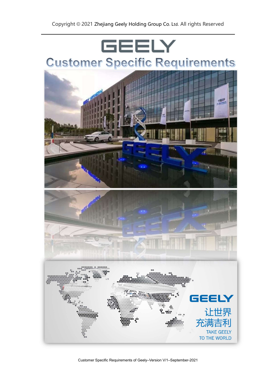

Customer Specific Requirements of Geely–Version V/1–September-2021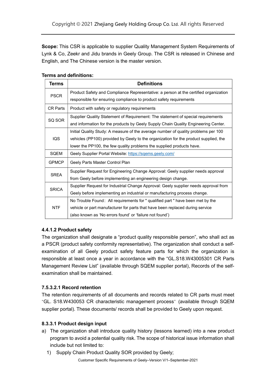Scope: This CSR is applicable to supplier Quality Management System Requirements of Lynk & Co, Zeekr and Jidu brands in Geely Group. The CSR is released in Chinese and English, and The Chinese version is the master version.

| Terms           | <b>Definitions</b>                                                                   |
|-----------------|--------------------------------------------------------------------------------------|
| <b>PSCR</b>     | Product Safety and Compliance Representative: a person at the certified organization |
|                 | responsible for ensuring compliance to product safety requirements                   |
| <b>CR Parts</b> | Product with safety or regulatory requirements                                       |
| SQ SOR          | Supplier Quality Statement of Requirement: The statement of special requirements     |
|                 | and information for the products by Geely Supply Chain Quality Engineering Center.   |
| IQS             | Initial Quality Study: A measure of the average number of quality problems per 100   |
|                 | vehicles (PP100) provided by Geely to the organization for the product supplied, the |
|                 | lower the PP100, the few quality problems the supplied products have.                |
| SQEM            | Geely Supplier Portal Website: https://sqems.geely.com/                              |
| <b>GPMCP</b>    | Geely Parts Master Control Plan                                                      |
| <b>SREA</b>     | Supplier Request for Engineering Change Approval: Geely supplier needs approval      |
|                 | from Geely before implementing an engineering design change.                         |
| <b>SRICA</b>    | Supplier Request for Industrial Change Approval: Geely supplier needs approval from  |
|                 | Geely before implementing an industrial or manufacturing process change.             |
| <b>NTF</b>      | No Trouble Found: All requirements for " qualified part " have been met by the       |
|                 | vehicle or part manufacturer for parts that have been replaced during service        |
|                 | (also known as 'No errors found' or 'failure not found')                             |

#### Terms and definitions:

## 4.4.1.2 Product safety

The organization shall designate a "product quality responsible person", who shall act as a PSCR (product safety conformity representative). The organization shall conduct a selfexamination of all Geely product safety feature parts for which the organization is responsible at least once a year in accordance with the "GL.S18.W43005301 CR Parts Management Review List" (available through SQEM supplier portal), Records of the selfexamination shall be maintained.

# 7.5.3.2.1 Record retention

The retention requirements of all documents and records related to CR parts must meet "GL. S18.W430053 CR characteristic management process" (available through SQEM supplier portal). These documents/ records shall be provided to Geely upon request.

# 8.3.3.1 Product design input

- a) The organization shall introduce quality history (lessons learned) into a new product program to avoid a potential quality risk. The scope of historical issue information shall include but not limited to:
	- 1) Supply Chain Product Quality SOR provided by Geely;